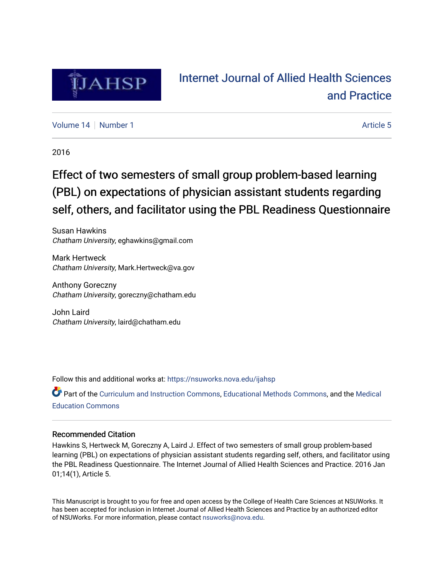

## [Internet Journal of Allied Health Sciences](https://nsuworks.nova.edu/ijahsp)  [and Practice](https://nsuworks.nova.edu/ijahsp)

[Volume 14](https://nsuworks.nova.edu/ijahsp/vol14) | [Number 1](https://nsuworks.nova.edu/ijahsp/vol14/iss1) Article 5

2016

# Effect of two semesters of small group problem-based learning (PBL) on expectations of physician assistant students regarding self, others, and facilitator using the PBL Readiness Questionnaire

Susan Hawkins Chatham University, eghawkins@gmail.com

Mark Hertweck Chatham University, Mark.Hertweck@va.gov

Anthony Goreczny Chatham University, goreczny@chatham.edu

John Laird Chatham University, laird@chatham.edu

Follow this and additional works at: [https://nsuworks.nova.edu/ijahsp](https://nsuworks.nova.edu/ijahsp?utm_source=nsuworks.nova.edu%2Fijahsp%2Fvol14%2Fiss1%2F5&utm_medium=PDF&utm_campaign=PDFCoverPages) 

Part of the [Curriculum and Instruction Commons,](http://network.bepress.com/hgg/discipline/786?utm_source=nsuworks.nova.edu%2Fijahsp%2Fvol14%2Fiss1%2F5&utm_medium=PDF&utm_campaign=PDFCoverPages) [Educational Methods Commons,](http://network.bepress.com/hgg/discipline/1227?utm_source=nsuworks.nova.edu%2Fijahsp%2Fvol14%2Fiss1%2F5&utm_medium=PDF&utm_campaign=PDFCoverPages) and the [Medical](http://network.bepress.com/hgg/discipline/1125?utm_source=nsuworks.nova.edu%2Fijahsp%2Fvol14%2Fiss1%2F5&utm_medium=PDF&utm_campaign=PDFCoverPages)  [Education Commons](http://network.bepress.com/hgg/discipline/1125?utm_source=nsuworks.nova.edu%2Fijahsp%2Fvol14%2Fiss1%2F5&utm_medium=PDF&utm_campaign=PDFCoverPages) 

### Recommended Citation

Hawkins S, Hertweck M, Goreczny A, Laird J. Effect of two semesters of small group problem-based learning (PBL) on expectations of physician assistant students regarding self, others, and facilitator using the PBL Readiness Questionnaire. The Internet Journal of Allied Health Sciences and Practice. 2016 Jan 01;14(1), Article 5.

This Manuscript is brought to you for free and open access by the College of Health Care Sciences at NSUWorks. It has been accepted for inclusion in Internet Journal of Allied Health Sciences and Practice by an authorized editor of NSUWorks. For more information, please contact [nsuworks@nova.edu.](mailto:nsuworks@nova.edu)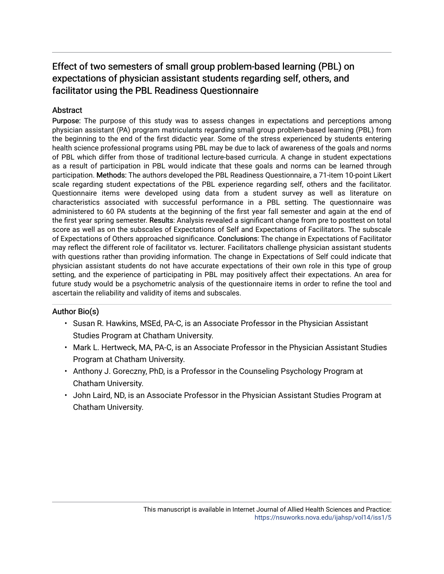### **Abstract**

Purpose: The purpose of this study was to assess changes in expectations and perceptions among physician assistant (PA) program matriculants regarding small group problem-based learning (PBL) from the beginning to the end of the first didactic year. Some of the stress experienced by students entering health science professional programs using PBL may be due to lack of awareness of the goals and norms of PBL which differ from those of traditional lecture-based curricula. A change in student expectations as a result of participation in PBL would indicate that these goals and norms can be learned through participation. Methods: The authors developed the PBL Readiness Questionnaire, a 71-item 10-point Likert scale regarding student expectations of the PBL experience regarding self, others and the facilitator. Questionnaire items were developed using data from a student survey as well as literature on characteristics associated with successful performance in a PBL setting. The questionnaire was administered to 60 PA students at the beginning of the first year fall semester and again at the end of the first year spring semester. Results: Analysis revealed a significant change from pre to posttest on total score as well as on the subscales of Expectations of Self and Expectations of Facilitators. The subscale of Expectations of Others approached significance. Conclusions: The change in Expectations of Facilitator may reflect the different role of facilitator vs. lecturer. Facilitators challenge physician assistant students with questions rather than providing information. The change in Expectations of Self could indicate that physician assistant students do not have accurate expectations of their own role in this type of group setting, and the experience of participating in PBL may positively affect their expectations. An area for future study would be a psychometric analysis of the questionnaire items in order to refine the tool and ascertain the reliability and validity of items and subscales.

## Author Bio(s)

- Susan R. Hawkins, MSEd, PA-C, is an Associate Professor in the Physician Assistant Studies Program at Chatham University.
- Mark L. Hertweck, MA, PA-C, is an Associate Professor in the Physician Assistant Studies Program at Chatham University.
- Anthony J. Goreczny, PhD, is a Professor in the Counseling Psychology Program at Chatham University.
- John Laird, ND, is an Associate Professor in the Physician Assistant Studies Program at Chatham University.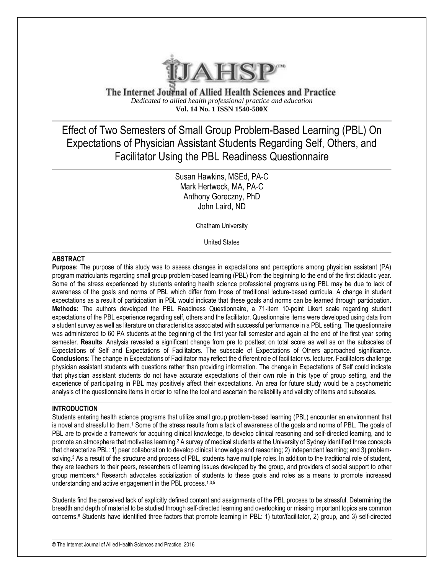

The Internet Journal of Allied Health Sciences and Practice *Dedicated to allied health professional practice and education* **Vol. 14 No. 1 ISSN 1540-580X**

Effect of Two Semesters of Small Group Problem-Based Learning (PBL) On Expectations of Physician Assistant Students Regarding Self, Others, and Facilitator Using the PBL Readiness Questionnaire

> Susan Hawkins, MSEd, PA-C Mark Hertweck, MA, PA-C Anthony Goreczny, PhD John Laird, ND

> > Chatham University

United States

#### **ABSTRACT**

**Purpose:** The purpose of this study was to assess changes in expectations and perceptions among physician assistant (PA) program matriculants regarding small group problem-based learning (PBL) from the beginning to the end of the first didactic year. Some of the stress experienced by students entering health science professional programs using PBL may be due to lack of awareness of the goals and norms of PBL which differ from those of traditional lecture-based curricula. A change in student expectations as a result of participation in PBL would indicate that these goals and norms can be learned through participation. **Methods:** The authors developed the PBL Readiness Questionnaire, a 71-item 10-point Likert scale regarding student expectations of the PBL experience regarding self, others and the facilitator. Questionnaire items were developed using data from a student survey as well as literature on characteristics associated with successful performance in a PBL setting. The questionnaire was administered to 60 PA students at the beginning of the first year fall semester and again at the end of the first year spring semester. **Results**: Analysis revealed a significant change from pre to posttest on total score as well as on the subscales of Expectations of Self and Expectations of Facilitators. The subscale of Expectations of Others approached significance. **Conclusions**: The change in Expectations of Facilitator may reflect the different role of facilitator vs. lecturer. Facilitators challenge physician assistant students with questions rather than providing information. The change in Expectations of Self could indicate that physician assistant students do not have accurate expectations of their own role in this type of group setting, and the experience of participating in PBL may positively affect their expectations. An area for future study would be a psychometric analysis of the questionnaire items in order to refine the tool and ascertain the reliability and validity of items and subscales.

#### **INTRODUCTION**

Students entering health science programs that utilize small group problem-based learning (PBL) encounter an environment that is novel and stressful to them.<sup>1</sup> Some of the stress results from a lack of awareness of the goals and norms of PBL. The goals of PBL are to provide a framework for acquiring clinical knowledge, to develop clinical reasoning and self-directed learning, and to promote an atmosphere that motivates learning.<sup>2</sup> A survey of medical students at the University of Sydney identified three concepts that characterize PBL: 1) peer collaboration to develop clinical knowledge and reasoning; 2) independent learning; and 3) problemsolving.<sup>3</sup> As a result of the structure and process of PBL, students have multiple roles. In addition to the traditional role of student, they are teachers to their peers, researchers of learning issues developed by the group, and providers of social support to other group members.<sup>4</sup> Research advocates socialization of students to these goals and roles as a means to promote increased understanding and active engagement in the PBL process.<sup>1,3,5</sup>

Students find the perceived lack of explicitly defined content and assignments of the PBL process to be stressful. Determining the breadth and depth of material to be studied through self-directed learning and overlooking or missing important topics are common concerns.<sup>6</sup> Students have identified three factors that promote learning in PBL: 1) tutor/facilitator, 2) group, and 3) self-directed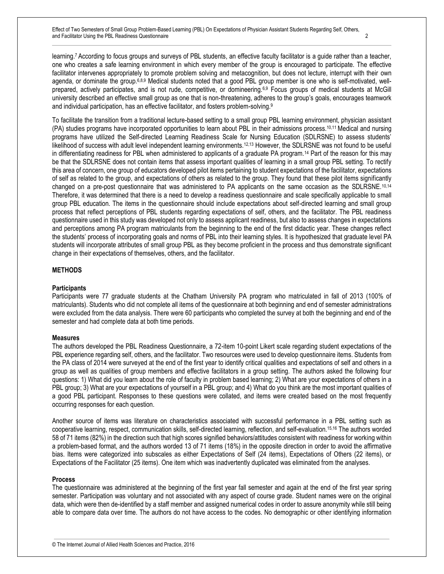learning.7 According to focus groups and surveys of PBL students, an effective faculty facilitator is a guide rather than a teacher, one who creates a safe learning environment in which every member of the group is encouraged to participate. The effective facilitator intervenes appropriately to promote problem solving and metacognition, but does not lecture, interrupt with their own agenda, or dominate the group.<sup>6,8,9</sup> Medical students noted that a good PBL group member is one who is self-motivated, wellprepared, actively participates, and is not rude, competitive, or domineering.<sup>6,9</sup> Focus groups of medical students at McGill university described an effective small group as one that is non-threatening, adheres to the group's goals, encourages teamwork and individual participation, has an effective facilitator, and fosters problem-solving.<sup>9</sup>

To facilitate the transition from a traditional lecture-based setting to a small group PBL learning environment, physician assistant (PA) studies programs have incorporated opportunities to learn about PBL in their admissions process.10,11 Medical and nursing programs have utilized the Self-directed Learning Readiness Scale for Nursing Education (SDLRSNE) to assess students' likelihood of success with adult level independent learning environments.<sup>12,13</sup> However, the SDLRSNE was not found to be useful in differentiating readiness for PBL when administered to applicants of a graduate PA program.<sup>14</sup> Part of the reason for this may be that the SDLRSNE does not contain items that assess important qualities of learning in a small group PBL setting. To rectify this area of concern, one group of educators developed pilot items pertaining to student expectations of the facilitator, expectations of self as related to the group, and expectations of others as related to the group. They found that these pilot items significantly changed on a pre-post questionnaire that was administered to PA applicants on the same occasion as the SDLRSNE.<sup>10,14</sup> Therefore, it was determined that there is a need to develop a readiness questionnaire and scale specifically applicable to small group PBL education. The items in the questionnaire should include expectations about self-directed learning and small group process that reflect perceptions of PBL students regarding expectations of self, others, and the facilitator. The PBL readiness questionnaire used in this study was developed not only to assess applicant readiness, but also to assess changes in expectations and perceptions among PA program matriculants from the beginning to the end of the first didactic year. These changes reflect the students' process of incorporating goals and norms of PBL into their learning styles. It is hypothesized that graduate level PA students will incorporate attributes of small group PBL as they become proficient in the process and thus demonstrate significant change in their expectations of themselves, others, and the facilitator.

#### **METHODS**

#### **Participants**

Participants were 77 graduate students at the Chatham University PA program who matriculated in fall of 2013 (100% of matriculants). Students who did not complete all items of the questionnaire at both beginning and end of semester administrations were excluded from the data analysis. There were 60 participants who completed the survey at both the beginning and end of the semester and had complete data at both time periods.

#### **Measures**

The authors developed the PBL Readiness Questionnaire, a 72-item 10-point Likert scale regarding student expectations of the PBL experience regarding self, others, and the facilitator. Two resources were used to develop questionnaire items. Students from the PA class of 2014 were surveyed at the end of the first year to identify critical qualities and expectations of self and others in a group as well as qualities of group members and effective facilitators in a group setting. The authors asked the following four questions: 1) What did you learn about the role of faculty in problem based learning; 2) What are your expectations of others in a PBL group; 3) What are your expectations of yourself in a PBL group; and 4) What do you think are the most important qualities of a good PBL participant. Responses to these questions were collated, and items were created based on the most frequently occurring responses for each question.

Another source of items was literature on characteristics associated with successful performance in a PBL setting such as cooperative learning, respect, communication skills, self-directed learning, reflection, and self-evaluation.15,16 The authors worded 58 of 71 items (82%) in the direction such that high scores signified behaviors/attitudes consistent with readiness for working within a problem-based format, and the authors worded 13 of 71 items (18%) in the opposite direction in order to avoid the affirmative bias. Items were categorized into subscales as either Expectations of Self (24 items), Expectations of Others (22 items), or Expectations of the Facilitator (25 items). One item which was inadvertently duplicated was eliminated from the analyses.

#### **Process**

The questionnaire was administered at the beginning of the first year fall semester and again at the end of the first year spring semester. Participation was voluntary and not associated with any aspect of course grade. Student names were on the original data, which were then de-identified by a staff member and assigned numerical codes in order to assure anonymity while still being able to compare data over time. The authors do not have access to the codes. No demographic or other identifying information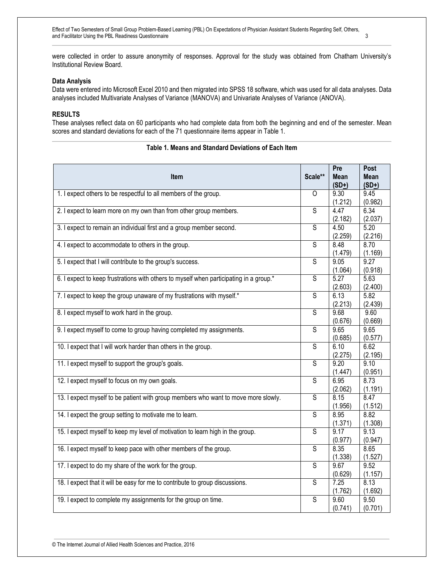were collected in order to assure anonymity of responses. Approval for the study was obtained from Chatham University's Institutional Review Board.

#### **Data Analysis**

Data were entered into Microsoft Excel 2010 and then migrated into SPSS 18 software, which was used for all data analyses. Data analyses included Multivariate Analyses of Variance (MANOVA) and Univariate Analyses of Variance (ANOVA).

#### **RESULTS**

These analyses reflect data on 60 participants who had complete data from both the beginning and end of the semester. Mean scores and standard deviations for each of the 71 questionnaire items appear in Table 1.

| <b>Item</b>                                                                            | Scale**                 | Pre<br><b>Mean</b> | Post<br><b>Mean</b> |
|----------------------------------------------------------------------------------------|-------------------------|--------------------|---------------------|
|                                                                                        |                         | $(SD+)$            | $(SD+)$             |
| 1. I expect others to be respectful to all members of the group.                       | $\circ$                 | 9.30               | 9.45                |
|                                                                                        |                         | (1.212)            | (0.982)             |
| 2. I expect to learn more on my own than from other group members.                     | $\overline{s}$          | 4.47               | 6.34                |
|                                                                                        |                         | (2.182)            | (2.037)             |
| 3. I expect to remain an individual first and a group member second.                   | $\overline{\mathsf{s}}$ | 4.50               | 5.20                |
|                                                                                        |                         | (2.259)            | (2.216)             |
| 4. I expect to accommodate to others in the group.                                     | S                       | 8.48               | 8.70                |
|                                                                                        |                         | (1.479)            | (1.169)             |
| 5. I expect that I will contribute to the group's success.                             | $\overline{\mathsf{s}}$ | 9.05               | 9.27                |
|                                                                                        | $\overline{\mathsf{s}}$ | (1.064)<br>5.27    | (0.918)<br>5.63     |
| 6. I expect to keep frustrations with others to myself when participating in a group.* |                         | (2.603)            | (2.400)             |
| 7. I expect to keep the group unaware of my frustrations with myself.*                 | $\overline{s}$          | 6.13               | 5.82                |
|                                                                                        |                         | (2.213)            | (2.439)             |
| 8. I expect myself to work hard in the group.                                          | $\overline{\mathsf{s}}$ | 9.68               | 9.60                |
|                                                                                        |                         | (0.676)            | (0.669)             |
| 9. I expect myself to come to group having completed my assignments.                   | S                       | 9.65               | 9.65                |
|                                                                                        |                         | (0.685)            | (0.577)             |
| 10. I expect that I will work harder than others in the group.                         | $\overline{S}$          | 6.10               | 6.62                |
|                                                                                        |                         | (2.275)            | (2.195)             |
| 11. I expect myself to support the group's goals.                                      | $\overline{\mathsf{s}}$ | 9.20               | 9.10                |
|                                                                                        |                         | (1.447)            | (0.951)             |
| 12. I expect myself to focus on my own goals.                                          | $\overline{S}$          | 6.95               | 8.73                |
|                                                                                        |                         | (2.062)            | (1.191)             |
| 13. I expect myself to be patient with group members who want to move more slowly.     | $\overline{s}$          | 8.15               | 8.47                |
|                                                                                        | $\overline{\mathsf{s}}$ | (1.956)            | (1.512)             |
| 14. I expect the group setting to motivate me to learn.                                |                         | 8.95               | 8.82<br>(1.308)     |
| 15. I expect myself to keep my level of motivation to learn high in the group.         | $\overline{S}$          | (1.371)<br>9.17    | 9.13                |
|                                                                                        |                         | (0.977)            | (0.947)             |
| 16. I expect myself to keep pace with other members of the group.                      | $\overline{\mathsf{s}}$ | 8.35               | 8.65                |
|                                                                                        |                         | (1.338)            | (1.527)             |
| 17. I expect to do my share of the work for the group.                                 | S                       | 9.67               | 9.52                |
|                                                                                        |                         | (0.629)            | (1.157)             |
| 18. I expect that it will be easy for me to contribute to group discussions.           | $\overline{s}$          | 7.25               | 8.13                |
|                                                                                        |                         | (1.762)            | (1.692)             |
| 19. I expect to complete my assignments for the group on time.                         | $\overline{s}$          | 9.60               | 9.50                |
|                                                                                        |                         | (0.741)            | (0.701)             |

#### **Table 1. Means and Standard Deviations of Each Item**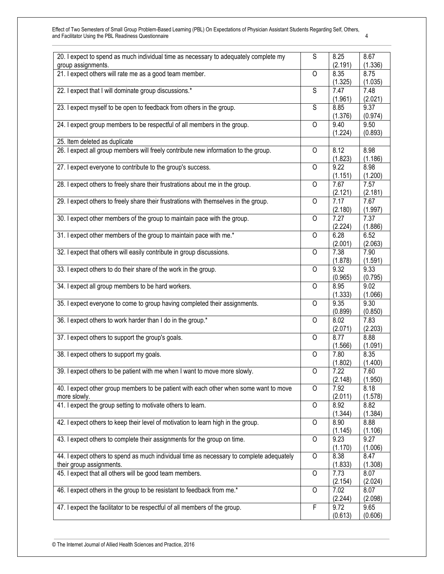| 20. I expect to spend as much individual time as necessary to adequately complete my     | $\overline{s}$ | 8.25    | 8.67    |
|------------------------------------------------------------------------------------------|----------------|---------|---------|
| group assignments.                                                                       |                | (2.191) | (1.336) |
| 21. I expect others will rate me as a good team member.                                  | $\overline{O}$ | 8.35    | 8.75    |
|                                                                                          |                | (1.325) | (1.035) |
| 22. I expect that I will dominate group discussions.*                                    | $\overline{s}$ | 7.47    | 7.48    |
|                                                                                          |                | (1.961) | (2.021) |
| 23. I expect myself to be open to feedback from others in the group.                     | S              | 8.85    | 9.37    |
|                                                                                          |                | (1.376) | (0.974) |
| 24. I expect group members to be respectful of all members in the group.                 | 0              | 9.40    | 9.50    |
|                                                                                          |                |         |         |
|                                                                                          |                | (1.224) | (0.893) |
| 25. Item deleted as duplicate                                                            |                |         |         |
| 26. I expect all group members will freely contribute new information to the group.      | 0              | 8.12    | 8.98    |
|                                                                                          |                | (1.823) | (1.186) |
| 27. I expect everyone to contribute to the group's success.                              | 0              | 9.22    | 8.98    |
|                                                                                          |                | (1.151) | (1.200) |
| 28. I expect others to freely share their frustrations about me in the group.            | $\overline{O}$ | 7.67    | 7.57    |
|                                                                                          |                | (2.121) | (2.181) |
| 29. I expect others to freely share their frustrations with themselves in the group.     | 0              | 7.17    | 7.67    |
|                                                                                          |                |         |         |
|                                                                                          |                | (2.180) | (1.997) |
| 30. I expect other members of the group to maintain pace with the group.                 | $\circ$        | 7.27    | 7.37    |
|                                                                                          |                | (2.224) | (1.886) |
| 31. I expect other members of the group to maintain pace with me.*                       | O              | 6.28    | 6.52    |
|                                                                                          |                | (2.001) | (2.063) |
| 32. I expect that others will easily contribute in group discussions.                    | $\overline{O}$ | 7.38    | 7.90    |
|                                                                                          |                | (1.878) | (1.591) |
| 33. I expect others to do their share of the work in the group.                          | $\overline{O}$ | 9.32    | 9.33    |
|                                                                                          |                |         |         |
|                                                                                          |                | (0.965) | (0.795) |
| 34. I expect all group members to be hard workers.                                       | 0              | 8.95    | 9.02    |
|                                                                                          |                | (1.333) | (1.066) |
| 35. I expect everyone to come to group having completed their assignments.               | $\circ$        | 9.35    | 9.30    |
|                                                                                          |                | (0.899) | (0.850) |
| 36. I expect others to work harder than I do in the group.*                              | $\circ$        | 8.02    | 7.83    |
|                                                                                          |                | (2.071) | (2.203) |
| 37. I expect others to support the group's goals.                                        | $\circ$        | 8.77    | 8.88    |
|                                                                                          |                | (1.566) | (1.091) |
|                                                                                          |                | 7.80    |         |
| 38. I expect others to support my goals.                                                 | 0              |         | 8.35    |
|                                                                                          |                | (1.802) | (1.400) |
| 39. I expect others to be patient with me when I want to move more slowly.               | 0              | 7.22    | 7.60    |
|                                                                                          |                | (2.148) | (1.950) |
| 40. I expect other group members to be patient with each other when some want to move    | $\overline{O}$ | 7.92    | 8.18    |
| more slowly.                                                                             |                | (2.011) | (1.578) |
| 41. I expect the group setting to motivate others to learn.                              | $\overline{O}$ | 8.92    | 8.82    |
|                                                                                          |                | (1.344) | (1.384) |
| 42. I expect others to keep their level of motivation to learn high in the group.        | 0              | 8.90    | 8.88    |
|                                                                                          |                |         |         |
|                                                                                          |                | (1.145) | (1.106) |
| 43. I expect others to complete their assignments for the group on time.                 | $\circ$        | 9.23    | 9.27    |
|                                                                                          |                | (1.170) | (1.006) |
| 44. I expect others to spend as much individual time as necessary to complete adequately | $\mathsf{O}$   | 8.38    | 8.47    |
| their group assignments.                                                                 |                | (1.833) | (1.308) |
| 45. I expect that all others will be good team members.                                  | 0              | 7.73    | 8.07    |
|                                                                                          |                | (2.154) | (2.024) |
| 46. I expect others in the group to be resistant to feedback from me.*                   | 0              | 7.02    | 8.07    |
|                                                                                          |                | (2.244) | (2.098) |
| 47. I expect the facilitator to be respectful of all members of the group.               | F              | 9.72    | 9.65    |
|                                                                                          |                |         |         |
|                                                                                          |                | (0.613) | (0.606) |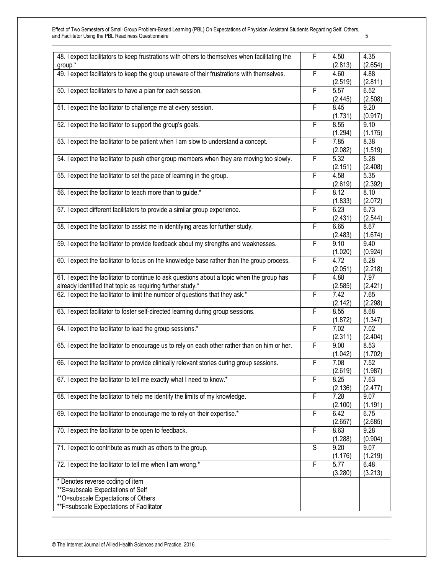| 48. I expect facilitators to keep frustrations with others to themselves when facilitating the | F | 4.50    | 4.35    |
|------------------------------------------------------------------------------------------------|---|---------|---------|
| group.*                                                                                        |   | (2.813) | (2.654) |
| 49. I expect facilitators to keep the group unaware of their frustrations with themselves.     | F | 4.60    | 4.88    |
|                                                                                                |   | (2.519) | (2.811) |
| 50. I expect facilitators to have a plan for each session.                                     | F | 5.57    | 6.52    |
|                                                                                                |   | (2.445) | (2.508) |
| 51. I expect the facilitator to challenge me at every session.                                 | F | 8.45    | 9.20    |
|                                                                                                |   |         |         |
|                                                                                                |   | (1.731) | (0.917) |
| 52. I expect the facilitator to support the group's goals.                                     | F | 8.55    | 9.10    |
|                                                                                                |   | (1.294) | (1.175) |
| 53. I expect the facilitator to be patient when I am slow to understand a concept.             | F | 7.85    | 8.38    |
|                                                                                                |   | (2.082) | (1.519) |
| 54. I expect the facilitator to push other group members when they are moving too slowly.      | F | 5.32    | 5.28    |
|                                                                                                |   | (2.151) | (2.408) |
|                                                                                                |   |         |         |
| 55. I expect the facilitator to set the pace of learning in the group.                         | F | 4.58    | 5.35    |
|                                                                                                |   | (2.619) | (2.392) |
| 56. I expect the facilitator to teach more than to guide.*                                     | F | 8.12    | 8.10    |
|                                                                                                |   | (1.833) | (2.072) |
| 57. I expect different facilitators to provide a similar group experience.                     | F | 6.23    | 6.73    |
|                                                                                                |   |         |         |
|                                                                                                |   | (2.431) | (2.544) |
| 58. I expect the facilitator to assist me in identifying areas for further study.              | F | 6.65    | 8.67    |
|                                                                                                |   | (2.483) | (1.674) |
| 59. I expect the facilitator to provide feedback about my strengths and weaknesses.            | F | 9.10    | 9.40    |
|                                                                                                |   | (1.020) | (0.924) |
| 60. I expect the facilitator to focus on the knowledge base rather than the group process.     | F | 4.72    | 6.28    |
|                                                                                                |   |         | (2.218) |
|                                                                                                |   | (2.051) |         |
| 61. I expect the facilitator to continue to ask questions about a topic when the group has     | F | 4.88    | 7.97    |
| already identified that topic as requiring further study.*                                     |   | (2.585) | (2.421) |
| 62. I expect the facilitator to limit the number of questions that they ask.*                  | F | 7.42    | 7.65    |
|                                                                                                |   | (2.142) | (2.298) |
| 63. I expect facilitator to foster self-directed learning during group sessions.               | F | 8.55    | 8.68    |
|                                                                                                |   | (1.872) | (1.347) |
|                                                                                                | F | 7.02    | 7.02    |
| 64. I expect the facilitator to lead the group sessions.*                                      |   |         |         |
|                                                                                                |   | (2.311) | (2.404) |
| 65. I expect the facilitator to encourage us to rely on each other rather than on him or her.  | F | 9.00    | 8.53    |
|                                                                                                |   | (1.042) | (1.702) |
| 66. I expect the facilitator to provide clinically relevant stories during group sessions.     | F | 7.08    | 7.52    |
|                                                                                                |   | (2.619) | (1.987) |
| 67. I expect the facilitator to tell me exactly what I need to know.*                          | F | 8.25    | 7.63    |
|                                                                                                |   |         |         |
|                                                                                                |   | (2.136) | (2.477) |
| 68. I expect the facilitator to help me identify the limits of my knowledge.                   | F | 7.28    | 9.07    |
|                                                                                                |   | (2.100) | (1.191) |
| 69. I expect the facilitator to encourage me to rely on their expertise.*                      | F | 6.42    | 6.75    |
|                                                                                                |   | (2.657) | (2.685) |
| 70. I expect the facilitator to be open to feedback.                                           | F | 8.63    | 9.28    |
|                                                                                                |   |         |         |
|                                                                                                |   | (1.288) | (0.904) |
| 71. I expect to contribute as much as others to the group.                                     | S | 9.20    | 9.07    |
|                                                                                                |   | (1.176) | (1.219) |
| 72. I expect the facilitator to tell me when I am wrong.*                                      | F | 5.77    | 6.48    |
|                                                                                                |   | (3.280) | (3.213) |
| * Denotes reverse coding of item                                                               |   |         |         |
|                                                                                                |   |         |         |
| **S=subscale Expectations of Self                                                              |   |         |         |
| **O=subscale Expectations of Others                                                            |   |         |         |
| **F=subscale Expectations of Facilitator                                                       |   |         |         |
|                                                                                                |   |         |         |

© The Internet Journal of Allied Health Sciences and Practice, 2016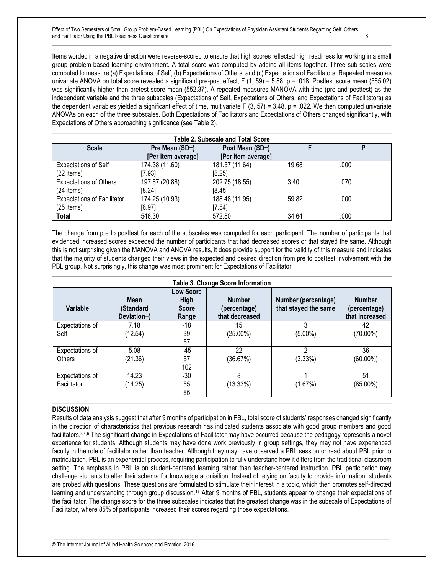Items worded in a negative direction were reverse-scored to ensure that high scores reflected high readiness for working in a small group problem-based learning environment. A total score was computed by adding all items together. Three sub-scales were computed to measure (a) Expectations of Self, (b) Expectations of Others, and (c) Expectations of Facilitators. Repeated measures univariate ANOVA on total score revealed a significant pre-post effect, F (1, 59) = 5.88, p = .018. Posttest score mean (565.02) was significantly higher than pretest score mean (552.37). A repeated measures MANOVA with time (pre and posttest) as the independent variable and the three subscales (Expectations of Self, Expectations of Others, and Expectations of Facilitators) as the dependent variables yielded a significant effect of time, multivariate  $F(3, 57) = 3.48$ ,  $p = .022$ . We then computed univariate ANOVAs on each of the three subscales. Both Expectations of Facilitators and Expectations of Others changed significantly, with Expectations of Others approaching significance (see Table 2).

| <b>Table 2. Subscale and Total Score</b> |                    |                    |       |      |  |
|------------------------------------------|--------------------|--------------------|-------|------|--|
| <b>Scale</b>                             | Pre Mean (SD+)     | Post Mean (SD+)    |       | D    |  |
|                                          | [Per item average] | [Per item average] |       |      |  |
| <b>Expectations of Self</b>              | 174.38 (11.60)     | 181.57 (11.64)     | 19.68 | .000 |  |
| (22 items)                               | 17.931             | [8.25]             |       |      |  |
| <b>Expectations of Others</b>            | 197.67 (20.88)     | 202.75 (18.55)     | 3.40  | .070 |  |
| $(24$ items)                             | [8.24]             | [8.45]             |       |      |  |
| <b>Expectations of Facilitator</b>       | 174.25 (10.93)     | 188.48 (11.95)     | 59.82 | .000 |  |
| $(25$ items)                             | 16.971             | 17.541             |       |      |  |
| <b>Total</b>                             | 546.30             | 572.80             | 34.64 | .000 |  |

The change from pre to posttest for each of the subscales was computed for each participant. The number of participants that evidenced increased scores exceeded the number of participants that had decreased scores or that stayed the same. Although this is not surprising given the MANOVA and ANOVA results, it does provide support for the validity of this measure and indicates that the majority of students changed their views in the expected and desired direction from pre to posttest involvement with the PBL group. Not surprisingly, this change was most prominent for Expectations of Facilitator.

| Table 3. Change Score Information |                                         |                                                   |                                                 |                                             |                                                 |
|-----------------------------------|-----------------------------------------|---------------------------------------------------|-------------------------------------------------|---------------------------------------------|-------------------------------------------------|
| Variable                          | <b>Mean</b><br>(Standard<br>Deviation+) | <b>Low Score</b><br>High<br><b>Score</b><br>Range | <b>Number</b><br>(percentage)<br>that decreased | Number (percentage)<br>that stayed the same | <b>Number</b><br>(percentage)<br>that increased |
| Expectations of<br>Self           | 7.18<br>(12.54)                         | -18<br>39<br>57                                   | 15<br>(25.00%)                                  | 3<br>$(5.00\%)$                             | 42<br>$(70.00\%)$                               |
| Expectations of<br><b>Others</b>  | 5.08<br>(21.36)                         | -45<br>57<br>102                                  | 22<br>(36.67%)                                  | 2<br>(3.33%)                                | 36<br>$(60.00\%)$                               |
| Expectations of<br>Facilitator    | 14.23<br>(14.25)                        | $-30$<br>55<br>85                                 | 8<br>$(13.33\%)$                                | (1.67%)                                     | 51<br>$(85.00\%)$                               |

#### **DISCUSSION**

Results of data analysis suggest that after 9 months of participation in PBL, total score of students' responses changed significantly in the direction of characteristics that previous research has indicated students associate with good group members and good facilitators.3,4,6 The significant change in Expectations of Facilitator may have occurred because the pedagogy represents a novel experience for students. Although students may have done work previously in group settings, they may not have experienced faculty in the role of facilitator rather than teacher. Although they may have observed a PBL session or read about PBL prior to matriculation, PBL is an experiential process, requiring participation to fully understand how it differs from the traditional classroom setting. The emphasis in PBL is on student-centered learning rather than teacher-centered instruction. PBL participation may challenge students to alter their schema for knowledge acquisition. Instead of relying on faculty to provide information, students are probed with questions. These questions are formulated to stimulate their interest in a topic, which then promotes self-directed learning and understanding through group discussion.<sup>17</sup> After 9 months of PBL, students appear to change their expectations of the facilitator. The change score for the three subscales indicates that the greatest change was in the subscale of Expectations of Facilitator, where 85% of participants increased their scores regarding those expectations.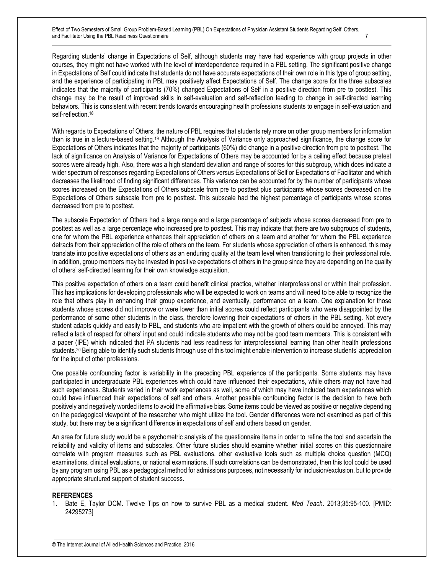Regarding students' change in Expectations of Self, although students may have had experience with group projects in other courses, they might not have worked with the level of interdependence required in a PBL setting. The significant positive change in Expectations of Self could indicate that students do not have accurate expectations of their own role in this type of group setting, and the experience of participating in PBL may positively affect Expectations of Self. The change score for the three subscales indicates that the majority of participants (70%) changed Expectations of Self in a positive direction from pre to posttest. This change may be the result of improved skills in self-evaluation and self-reflection leading to change in self-directed learning behaviors. This is consistent with recent trends towards encouraging health professions students to engage in self-evaluation and self-reflection.<sup>18</sup>

With regards to Expectations of Others, the nature of PBL requires that students rely more on other group members for information than is true in a lecture-based setting.<sup>19</sup> Although the Analysis of Variance only approached significance, the change score for Expectations of Others indicates that the majority of participants (60%) did change in a positive direction from pre to posttest. The lack of significance on Analysis of Variance for Expectations of Others may be accounted for by a ceiling effect because pretest scores were already high. Also, there was a high standard deviation and range of scores for this subgroup, which does indicate a wider spectrum of responses regarding Expectations of Others versus Expectations of Self or Expectations of Facilitator and which decreases the likelihood of finding significant differences. This variance can be accounted for by the number of participants whose scores increased on the Expectations of Others subscale from pre to posttest plus participants whose scores decreased on the Expectations of Others subscale from pre to posttest. This subscale had the highest percentage of participants whose scores decreased from pre to posttest.

The subscale Expectation of Others had a large range and a large percentage of subjects whose scores decreased from pre to posttest as well as a large percentage who increased pre to posttest. This may indicate that there are two subgroups of students, one for whom the PBL experience enhances their appreciation of others on a team and another for whom the PBL experience detracts from their appreciation of the role of others on the team. For students whose appreciation of others is enhanced, this may translate into positive expectations of others as an enduring quality at the team level when transitioning to their professional role. In addition, group members may be invested in positive expectations of others in the group since they are depending on the quality of others' self-directed learning for their own knowledge acquisition.

This positive expectation of others on a team could benefit clinical practice, whether interprofessional or within their profession. This has implications for developing professionals who will be expected to work on teams and will need to be able to recognize the role that others play in enhancing their group experience, and eventually, performance on a team. One explanation for those students whose scores did not improve or were lower than initial scores could reflect participants who were disappointed by the performance of some other students in the class, therefore lowering their expectations of others in the PBL setting. Not every student adapts quickly and easily to PBL, and students who are impatient with the growth of others could be annoyed. This may reflect a lack of respect for others' input and could indicate students who may not be good team members. This is consistent with a paper (IPE) which indicated that PA students had less readiness for interprofessional learning than other health professions students.<sup>20</sup> Being able to identify such students through use of this tool might enable intervention to increase students' appreciation for the input of other professions.

One possible confounding factor is variability in the preceding PBL experience of the participants. Some students may have participated in undergraduate PBL experiences which could have influenced their expectations, while others may not have had such experiences. Students varied in their work experiences as well, some of which may have included team experiences which could have influenced their expectations of self and others. Another possible confounding factor is the decision to have both positively and negatively worded items to avoid the affirmative bias. Some items could be viewed as positive or negative depending on the pedagogical viewpoint of the researcher who might utilize the tool. Gender differences were not examined as part of this study, but there may be a significant difference in expectations of self and others based on gender.

An area for future study would be a psychometric analysis of the questionnaire items in order to refine the tool and ascertain the reliability and validity of items and subscales. Other future studies should examine whether initial scores on this questionnaire correlate with program measures such as PBL evaluations, other evaluative tools such as multiple choice question (MCQ) examinations, clinical evaluations, or national examinations. If such correlations can be demonstrated, then this tool could be used by any program using PBL as a pedagogical method for admissions purposes, not necessarily for inclusion/exclusion, but to provide appropriate structured support of student success.

#### **REFERENCES**

1. Bate E, Taylor DCM. Twelve Tips on how to survive PBL as a medical student. *Med Teach*. 2013;35:95-100. [PMID: 24295273]